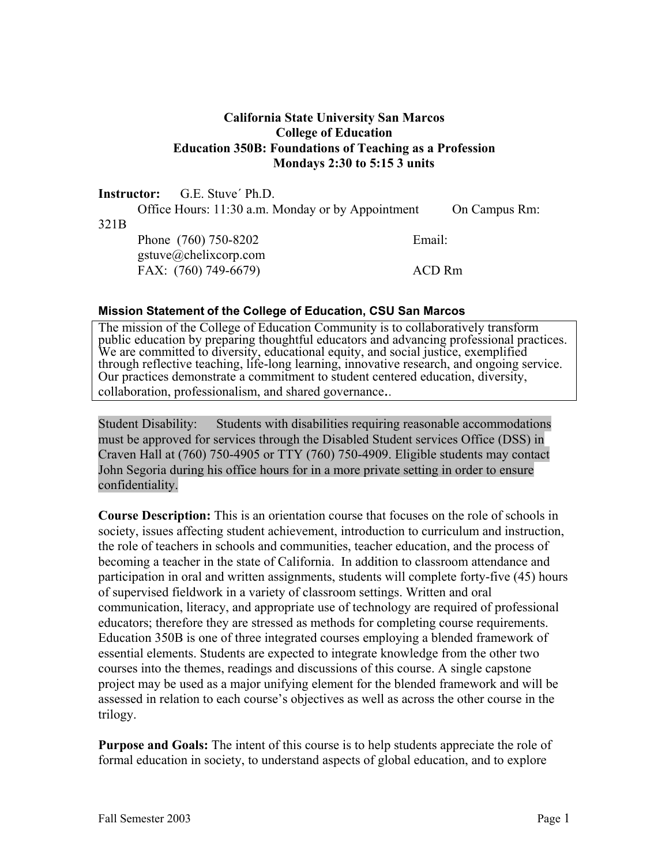## **California State University San Marcos College of Education Education 350B: Foundations of Teaching as a Profession Mondays 2:30 to 5:15 3 units**

#### **Instructor:** G.E. Stuve´ Ph.D.

321B

 Office Hours: 11:30 a.m. Monday or by Appointment On Campus Rm: Phone (760) 750-8202 Email: gstuve@chelixcorp.com FAX: (760) 749-6679) ACD Rm

#### **Mission Statement of the College of Education, CSU San Marcos**

The mission of the College of Education Community is to collaboratively transform public education by preparing thoughtful educators and advancing professional practices. We are committed to diversity, educational equity, and social justice, exemplified through reflective teaching, life-long learning, innovative research, and ongoing service. Our practices demonstrate a commitment to student centered education, diversity, collaboration, professionalism, and shared governance..

Student Disability: Students with disabilities requiring reasonable accommodations must be approved for services through the Disabled Student services Office (DSS) in Craven Hall at (760) 750-4905 or TTY (760) 750-4909. Eligible students may contact John Segoria during his office hours for in a more private setting in order to ensure confidentiality.

**Course Description:** This is an orientation course that focuses on the role of schools in society, issues affecting student achievement, introduction to curriculum and instruction, the role of teachers in schools and communities, teacher education, and the process of becoming a teacher in the state of California. In addition to classroom attendance and participation in oral and written assignments, students will complete forty-five (45) hours of supervised fieldwork in a variety of classroom settings. Written and oral communication, literacy, and appropriate use of technology are required of professional educators; therefore they are stressed as methods for completing course requirements. Education 350B is one of three integrated courses employing a blended framework of essential elements. Students are expected to integrate knowledge from the other two courses into the themes, readings and discussions of this course. A single capstone project may be used as a major unifying element for the blended framework and will be assessed in relation to each course's objectives as well as across the other course in the trilogy.

**Purpose and Goals:** The intent of this course is to help students appreciate the role of formal education in society, to understand aspects of global education, and to explore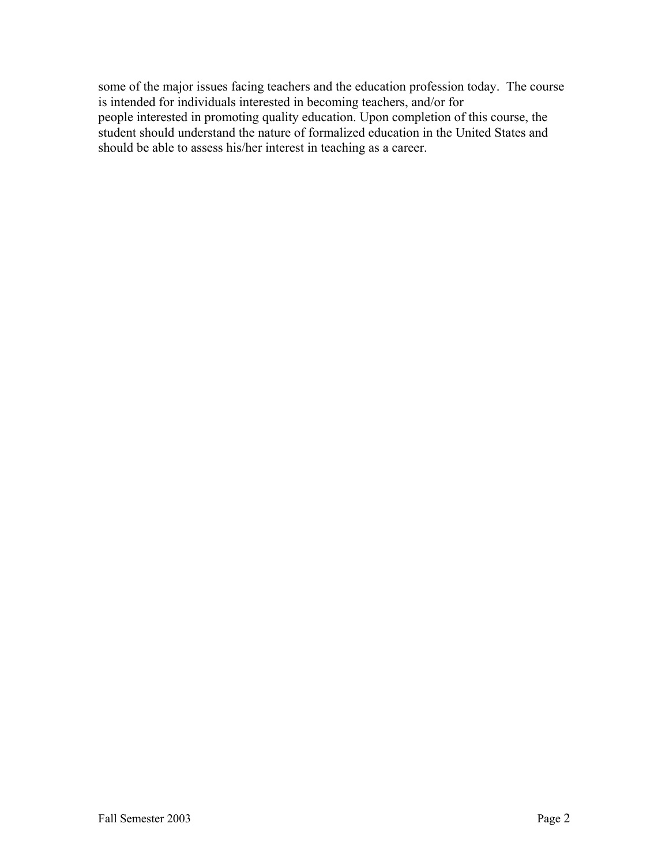some of the major issues facing teachers and the education profession today. The course is intended for individuals interested in becoming teachers, and/or for people interested in promoting quality education. Upon completion of this course, the student should understand the nature of formalized education in the United States and should be able to assess his/her interest in teaching as a career.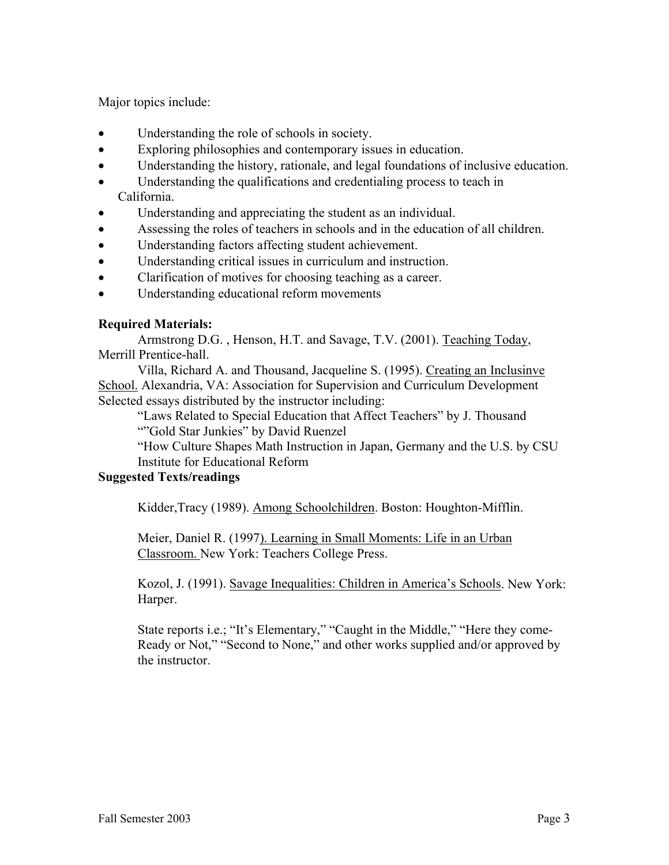Major topics include:

- Understanding the role of schools in society.
- Exploring philosophies and contemporary issues in education.
- Understanding the history, rationale, and legal foundations of inclusive education.
- Understanding the qualifications and credentialing process to teach in California.
- Understanding and appreciating the student as an individual.
- Assessing the roles of teachers in schools and in the education of all children.
- Understanding factors affecting student achievement.
- Understanding critical issues in curriculum and instruction.
- Clarification of motives for choosing teaching as a career.
- Understanding educational reform movements

## **Required Materials:**

 Armstrong D.G. , Henson, H.T. and Savage, T.V. (2001). Teaching Today, Merrill Prentice-hall.

 Villa, Richard A. and Thousand, Jacqueline S. (1995). Creating an Inclusinve School. Alexandria, VA: Association for Supervision and Curriculum Development Selected essays distributed by the instructor including:

 "Laws Related to Special Education that Affect Teachers" by J. Thousand ""Gold Star Junkies" by David Ruenzel

"How Culture Shapes Math Instruction in Japan, Germany and the U.S. by CSU Institute for Educational Reform

## **Suggested Texts/readings**

Kidder,Tracy (1989). Among Schoolchildren. Boston: Houghton-Mifflin.

Meier, Daniel R. (1997). Learning in Small Moments: Life in an Urban Classroom. New York: Teachers College Press.

Kozol, J. (1991). Savage Inequalities: Children in America's Schools. New York: Harper.

State reports i.e.; "It's Elementary," "Caught in the Middle," "Here they come-Ready or Not," "Second to None," and other works supplied and/or approved by the instructor.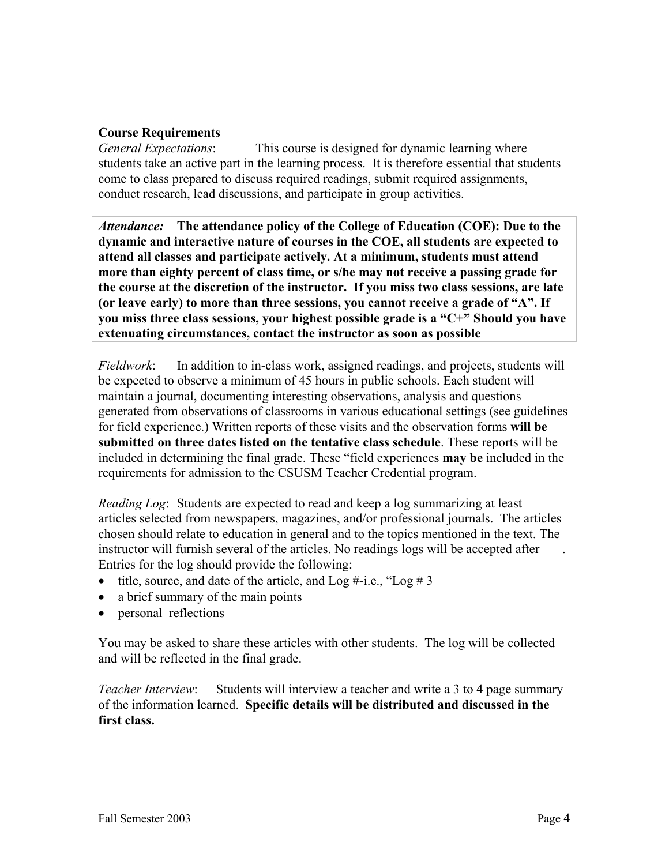#### **Course Requirements**

*General Expectations*: This course is designed for dynamic learning where students take an active part in the learning process. It is therefore essential that students come to class prepared to discuss required readings, submit required assignments, conduct research, lead discussions, and participate in group activities.

*Attendance:* **The attendance policy of the College of Education (COE): Due to the dynamic and interactive nature of courses in the COE, all students are expected to attend all classes and participate actively. At a minimum, students must attend more than eighty percent of class time, or s/he may not receive a passing grade for the course at the discretion of the instructor. If you miss two class sessions, are late (or leave early) to more than three sessions, you cannot receive a grade of "A". If you miss three class sessions, your highest possible grade is a "C+" Should you have extenuating circumstances, contact the instructor as soon as possible** 

*Fieldwork*: In addition to in-class work, assigned readings, and projects, students will be expected to observe a minimum of 45 hours in public schools. Each student will maintain a journal, documenting interesting observations, analysis and questions generated from observations of classrooms in various educational settings (see guidelines for field experience.) Written reports of these visits and the observation forms **will be submitted on three dates listed on the tentative class schedule**. These reports will be included in determining the final grade. These "field experiences **may be** included in the requirements for admission to the CSUSM Teacher Credential program.

*Reading Log*: Students are expected to read and keep a log summarizing at least articles selected from newspapers, magazines, and/or professional journals. The articles chosen should relate to education in general and to the topics mentioned in the text. The instructor will furnish several of the articles. No readings logs will be accepted after . Entries for the log should provide the following:

- title, source, and date of the article, and  $\text{Log } \# \text{-i.e., } \text{Log } \# 3$
- a brief summary of the main points
- personal reflections

You may be asked to share these articles with other students. The log will be collected and will be reflected in the final grade.

*Teacher Interview*: Students will interview a teacher and write a 3 to 4 page summary of the information learned. **Specific details will be distributed and discussed in the first class.**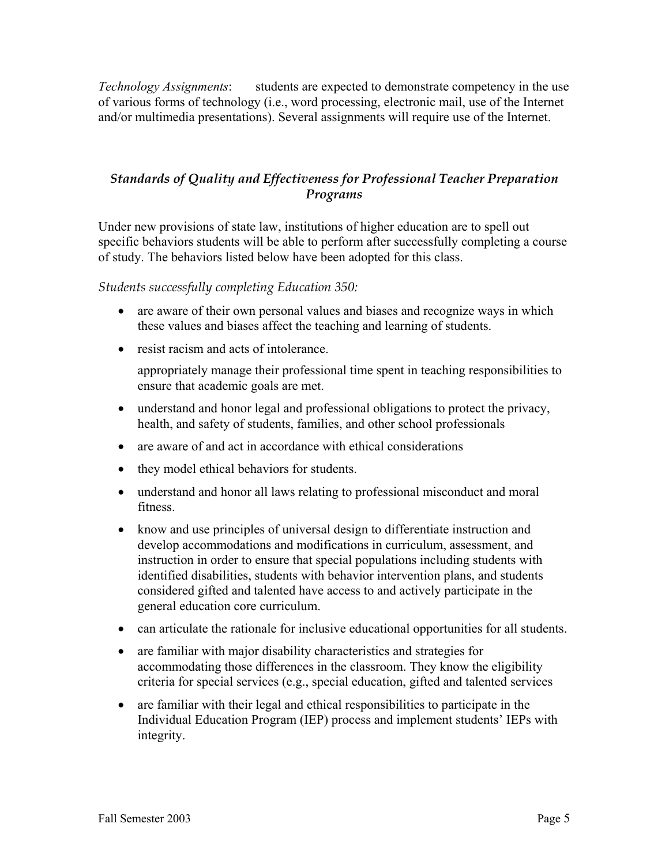*Technology Assignments*: students are expected to demonstrate competency in the use of various forms of technology (i.e., word processing, electronic mail, use of the Internet and/or multimedia presentations). Several assignments will require use of the Internet.

## *Standards of Quality and Effectiveness for Professional Teacher Preparation Programs*

Under new provisions of state law, institutions of higher education are to spell out specific behaviors students will be able to perform after successfully completing a course of study. The behaviors listed below have been adopted for this class.

*Students successfully completing Education 350:* 

- are aware of their own personal values and biases and recognize ways in which these values and biases affect the teaching and learning of students.
- resist racism and acts of intolerance.

appropriately manage their professional time spent in teaching responsibilities to ensure that academic goals are met.

- understand and honor legal and professional obligations to protect the privacy, health, and safety of students, families, and other school professionals
- are aware of and act in accordance with ethical considerations
- they model ethical behaviors for students.
- understand and honor all laws relating to professional misconduct and moral fitness.
- know and use principles of universal design to differentiate instruction and develop accommodations and modifications in curriculum, assessment, and instruction in order to ensure that special populations including students with identified disabilities, students with behavior intervention plans, and students considered gifted and talented have access to and actively participate in the general education core curriculum.
- can articulate the rationale for inclusive educational opportunities for all students.
- are familiar with major disability characteristics and strategies for accommodating those differences in the classroom. They know the eligibility criteria for special services (e.g., special education, gifted and talented services
- are familiar with their legal and ethical responsibilities to participate in the Individual Education Program (IEP) process and implement students' IEPs with integrity.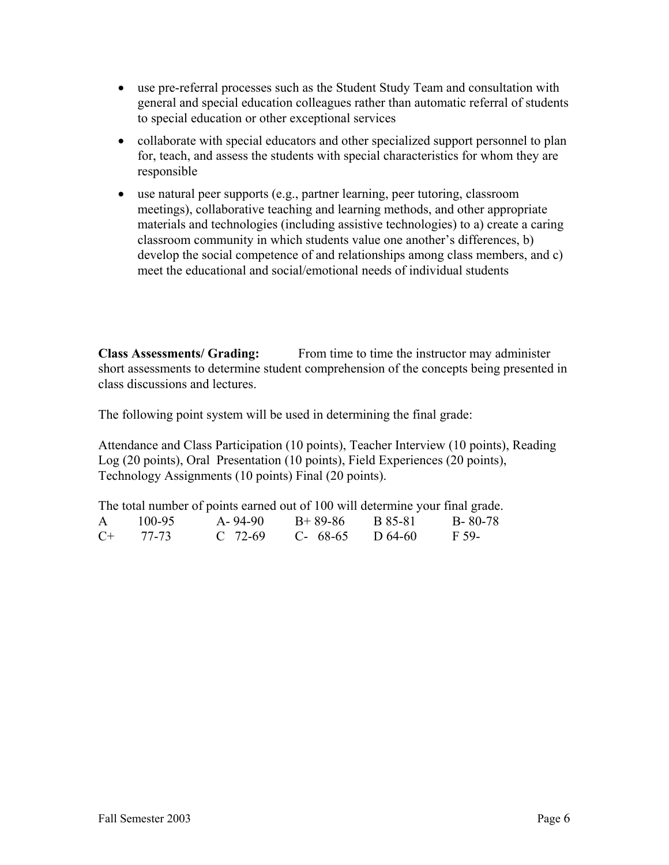- use pre-referral processes such as the Student Study Team and consultation with general and special education colleagues rather than automatic referral of students to special education or other exceptional services
- collaborate with special educators and other specialized support personnel to plan for, teach, and assess the students with special characteristics for whom they are responsible
- use natural peer supports (e.g., partner learning, peer tutoring, classroom meetings), collaborative teaching and learning methods, and other appropriate materials and technologies (including assistive technologies) to a) create a caring classroom community in which students value one another's differences, b) develop the social competence of and relationships among class members, and c) meet the educational and social/emotional needs of individual students

**Class Assessments/ Grading:** From time to time the instructor may administer short assessments to determine student comprehension of the concepts being presented in class discussions and lectures.

The following point system will be used in determining the final grade:

Attendance and Class Participation (10 points), Teacher Interview (10 points), Reading Log (20 points), Oral Presentation (10 points), Field Experiences (20 points), Technology Assignments (10 points) Final (20 points).

The total number of points earned out of 100 will determine your final grade. A 100-95 A- 94-90 B+ 89-86 B 85-81 B- 80-78 C+ 77-73 C 72-69 C- 68-65 D 64-60 F 59-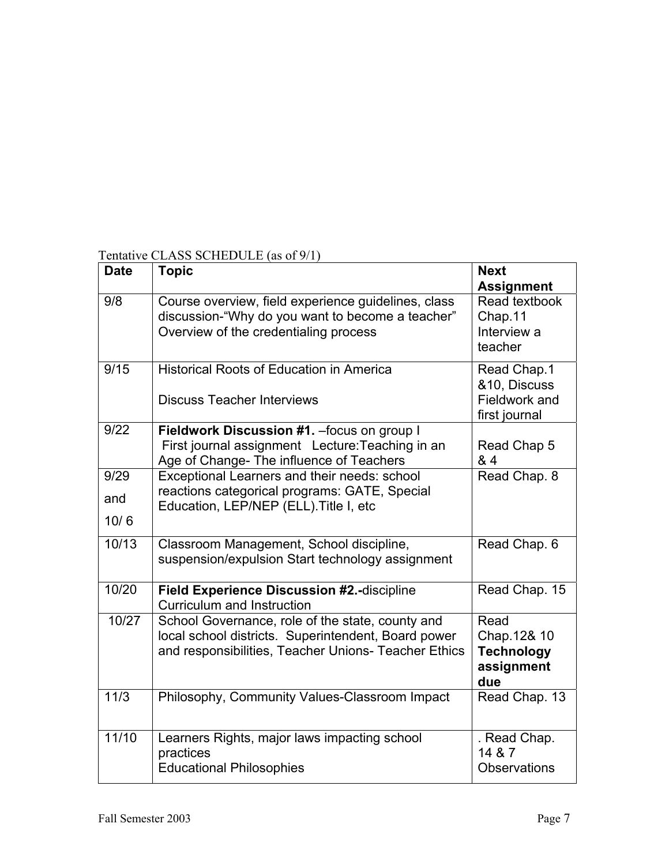| <b>Date</b> | <b>Topic</b>                                                                                                                                                    | <b>Next</b><br><b>Assignment</b>                              |
|-------------|-----------------------------------------------------------------------------------------------------------------------------------------------------------------|---------------------------------------------------------------|
| 9/8         | Course overview, field experience guidelines, class<br>discussion-"Why do you want to become a teacher"<br>Overview of the credentialing process                | Read textbook<br>Chap.11<br>Interview a<br>teacher            |
| 9/15        | <b>Historical Roots of Education in America</b><br><b>Discuss Teacher Interviews</b>                                                                            | Read Chap.1<br>&10, Discuss<br>Fieldwork and<br>first journal |
| 9/22        | Fieldwork Discussion #1. - focus on group I<br>First journal assignment Lecture: Teaching in an<br>Age of Change- The influence of Teachers                     | Read Chap 5<br>& 4                                            |
| 9/29<br>and | Exceptional Learners and their needs: school<br>reactions categorical programs: GATE, Special<br>Education, LEP/NEP (ELL). Title I, etc                         | Read Chap. 8                                                  |
| 10/6        |                                                                                                                                                                 |                                                               |
| 10/13       | Classroom Management, School discipline,<br>suspension/expulsion Start technology assignment                                                                    | Read Chap. 6                                                  |
| 10/20       | Field Experience Discussion #2.-discipline<br><b>Curriculum and Instruction</b>                                                                                 | Read Chap. 15                                                 |
| 10/27       | School Governance, role of the state, county and<br>local school districts. Superintendent, Board power<br>and responsibilities, Teacher Unions- Teacher Ethics | Read<br>Chap.12& 10<br><b>Technology</b><br>assignment<br>due |
| 11/3        | Philosophy, Community Values-Classroom Impact                                                                                                                   | Read Chap. 13                                                 |
| 11/10       | Learners Rights, major laws impacting school<br>practices<br><b>Educational Philosophies</b>                                                                    | . Read Chap.<br>14 & 7<br><b>Observations</b>                 |

# Tentative CLASS SCHEDULE (as of 9/1)